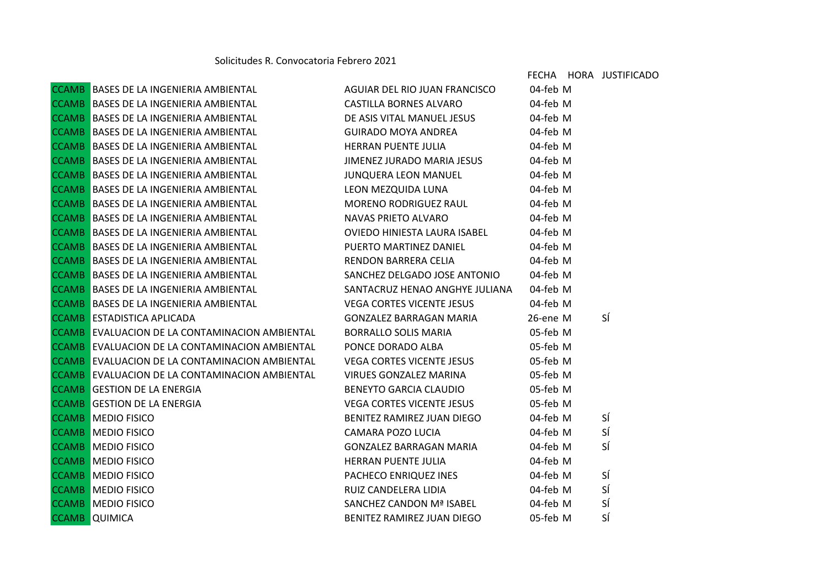|  |                                                                                  |                                       |          | FECHA HORA JUSTIFICADO |
|--|----------------------------------------------------------------------------------|---------------------------------------|----------|------------------------|
|  | CCAMB BASES DE LA INGENIERIA AMBIENTAL                                           | AGUIAR DEL RIO JUAN FRANCISCO         | 04-feb M |                        |
|  | CCAMB BASES DE LA INGENIERIA AMBIENTAL<br>CCAMB BASES DE LA INGENIERIA AMBIENTAL | CASTILLA BORNES ALVARO                | 04-feb M |                        |
|  |                                                                                  | DE ASIS VITAL MANUEL JESUS            | 04-feb M |                        |
|  | CCAMB BASES DE LA INGENIERIA AMBIENTAL                                           | GUIRADO MOYA ANDREA                   | 04-feb M |                        |
|  | CCAMB BASES DE LA INGENIERIA AMBIENTAL<br>CCAMB BASES DE LA INGENIERIA AMBIENTAL | HERRAN PUENTE JULIA                   | 04-feb M |                        |
|  |                                                                                  | JIMENEZ JURADO MARIA JESUS            | 04-feb M |                        |
|  | CCAMB BASES DE LA INGENIERIA AMBIENTAL                                           | JUNQUERA LEON MANUEL 04-feb M         |          |                        |
|  | CCAMB BASES DE LA INGENIERIA AMBIENTAL                                           | LEON MEZQUIDA LUNA                    | 04-feb M |                        |
|  | CCAMB BASES DE LA INGENIERIA AMBIENTAL                                           | MORENO RODRIGUEZ RAUL                 | 04-feb M |                        |
|  | CCAMB BASES DE LA INGENIERIA AMBIENTAL                                           | NAVAS PRIETO ALVARO                   | 04-feb M |                        |
|  | CCAMB BASES DE LA INGENIERIA AMBIENTAL<br>CCAMB BASES DE LA INGENIERIA AMBIENTAL | OVIEDO HINIESTA LAURA ISABEL          | 04-feb M |                        |
|  |                                                                                  | PUERTO MARTINEZ DANIEL 04-feb M       |          |                        |
|  | CCAMB BASES DE LA INGENIERIA AMBIENTAL                                           | RENDON BARRERA CELIA                  | 04-feb M |                        |
|  | CCAMB BASES DE LA INGENIERIA AMBIENTAL                                           | SANCHEZ DELGADO JOSE ANTONIO 04-feb M |          |                        |
|  | <b>CCAMB</b> BASES DE LA INGENIERIA AMBIENTAL                                    | SANTACRUZ HENAO ANGHYE JULIANA        | 04-feb M |                        |
|  | CCAMB BASES DE LA INGENIERIA AMBIENTAL<br>CCAMB ESTADISTICA APLICADA             | VEGA CORTES VICENTE JESUS             | 04-feb M |                        |
|  |                                                                                  | GONZALEZ BARRAGAN MARIA               | 26-ene M | SÍ                     |
|  | <b>CCAMB</b> EVALUACION DE LA CONTAMINACION AMBIENTAL                            | BORRALLO SOLIS MARIA 65-feb M         |          |                        |
|  | CCAMB EVALUACION DE LA CONTAMINACION AMBIENTAL                                   | PONCE DORADO ALBA                     | 05-feb M |                        |
|  | <b>CCAMB</b> EVALUACION DE LA CONTAMINACION AMBIENTAL                            | <b>VEGA CORTES VICENTE JESUS</b>      | 05-feb M |                        |
|  | <b>CCAMB</b> EVALUACION DE LA CONTAMINACION AMBIENTAL                            | VIRUES GONZALEZ MARINA                | 05-feb M |                        |
|  | <b>CCAMB GESTION DE LA ENERGIA</b>                                               | BENEYTO GARCIA CLAUDIO                | 05-feb M |                        |
|  | <b>CCAMB GESTION DE LA ENERGIA</b>                                               | <b>VEGA CORTES VICENTE JESUS</b>      | 05-feb M |                        |
|  | <b>CCAMB</b> MEDIO FISICO                                                        | BENITEZ RAMIREZ JUAN DIEGO            | 04-feb M | SÍ                     |
|  | <b>CCAMB</b> MEDIO FISICO                                                        | CAMARA POZO LUCIA                     | 04-feb M | SÍ                     |
|  | <b>CCAMB</b> MEDIO FISICO                                                        | GONZALEZ BARRAGAN MARIA               | 04-feb M | SÍ                     |
|  | <b>CCAMB</b> MEDIO FISICO                                                        | HERRAN PUENTE JULIA                   | 04-feb M |                        |
|  | <b>CCAMB</b> MEDIO FISICO                                                        | PACHECO ENRIQUEZ INES                 | 04-feb M | SÍ                     |
|  | <b>CCAMB</b> MEDIO FISICO                                                        | RUIZ CANDELERA LIDIA                  | 04-feb M | SÍ                     |
|  | <b>CCAMB</b> MEDIO FISICO                                                        | SANCHEZ CANDON Mª ISABEL              | 04-feb M | SÍ                     |
|  | <b>CCAMB</b> QUIMICA                                                             | BENITEZ RAMIREZ JUAN DIEGO            | 05-feb M | SÍ                     |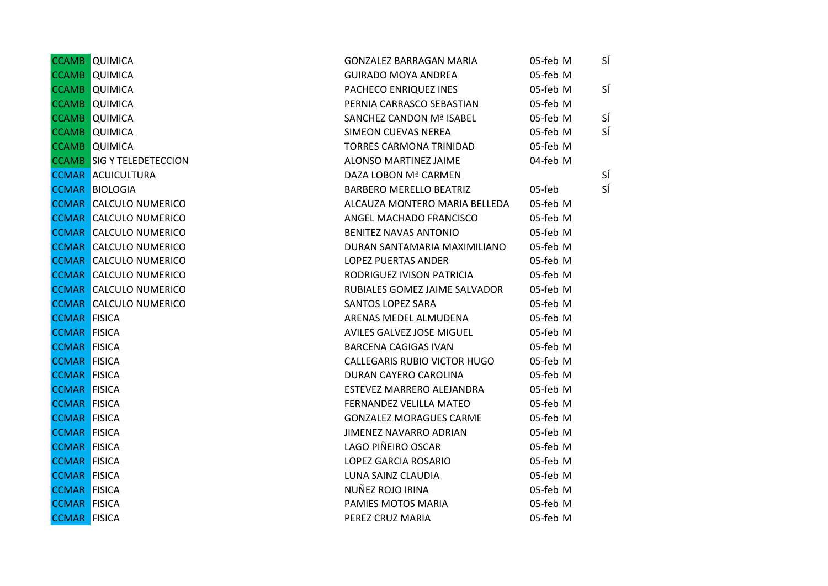|                     | <b>CCAMB</b> QUIMICA             | <b>GONZALEZ BARRAGAN MARIA</b> | 05-feb M | SÍ |
|---------------------|----------------------------------|--------------------------------|----------|----|
|                     | <b>CCAMB</b> QUIMICA             | <b>GUIRADO MOYA ANDREA</b>     | 05-feb M |    |
|                     | <b>CCAMB</b> QUIMICA             | PACHECO ENRIQUEZ INES          | 05-feb M | SÍ |
|                     | <b>CCAMB</b> QUIMICA             | PERNIA CARRASCO SEBASTIAN      | 05-feb M |    |
|                     | <b>CCAMB</b> QUIMICA             | SANCHEZ CANDON Mª ISABEL       | 05-feb M | SÍ |
|                     | <b>CCAMB</b> QUIMICA             | SIMEON CUEVAS NEREA            | 05-feb M | SÍ |
|                     | <b>CCAMB</b> QUIMICA             | <b>TORRES CARMONA TRINIDAD</b> | 05-feb M |    |
|                     | <b>CCAMB</b> SIG Y TELEDETECCION | ALONSO MARTINEZ JAIME          | 04-feb M |    |
|                     | <b>CCMAR ACUICULTURA</b>         | DAZA LOBON Mª CARMEN           |          | SÍ |
|                     | <b>CCMAR BIOLOGIA</b>            | <b>BARBERO MERELLO BEATRIZ</b> | 05-feb   | SÍ |
|                     | <b>CCMAR CALCULO NUMERICO</b>    | ALCAUZA MONTERO MARIA BELLEDA  | 05-feb M |    |
|                     | <b>CCMAR CALCULO NUMERICO</b>    | ANGEL MACHADO FRANCISCO        | 05-feb M |    |
|                     | <b>CCMAR CALCULO NUMERICO</b>    | BENITEZ NAVAS ANTONIO          | 05-feb M |    |
|                     | <b>CCMAR CALCULO NUMERICO</b>    | DURAN SANTAMARIA MAXIMILIANO   | 05-feb M |    |
|                     | <b>CCMAR CALCULO NUMERICO</b>    | <b>LOPEZ PUERTAS ANDER</b>     | 05-feb M |    |
|                     | <b>CCMAR CALCULO NUMERICO</b>    | RODRIGUEZ IVISON PATRICIA      | 05-feb M |    |
|                     | <b>CCMAR CALCULO NUMERICO</b>    | RUBIALES GOMEZ JAIME SALVADOR  | 05-feb M |    |
|                     | <b>CCMAR CALCULO NUMERICO</b>    | SANTOS LOPEZ SARA              | 05-feb M |    |
| <b>CCMAR FISICA</b> |                                  | ARENAS MEDEL ALMUDENA          | 05-feb M |    |
| <b>CCMAR FISICA</b> |                                  | AVILES GALVEZ JOSE MIGUEL      | 05-feb M |    |
| <b>CCMAR FISICA</b> |                                  | <b>BARCENA CAGIGAS IVAN</b>    | 05-feb M |    |
| <b>CCMAR FISICA</b> |                                  | CALLEGARIS RUBIO VICTOR HUGO   | 05-feb M |    |
| <b>CCMAR FISICA</b> |                                  | DURAN CAYERO CAROLINA          | 05-feb M |    |
| <b>CCMAR FISICA</b> |                                  | ESTEVEZ MARRERO ALEJANDRA      | 05-feb M |    |
| <b>CCMAR FISICA</b> |                                  | FERNANDEZ VELILLA MATEO        | 05-feb M |    |
| <b>CCMAR FISICA</b> |                                  | <b>GONZALEZ MORAGUES CARME</b> | 05-feb M |    |
| <b>CCMAR FISICA</b> |                                  | JIMENEZ NAVARRO ADRIAN         | 05-feb M |    |
| <b>CCMAR FISICA</b> |                                  | LAGO PIÑEIRO OSCAR             | 05-feb M |    |
| <b>CCMAR FISICA</b> |                                  | LOPEZ GARCIA ROSARIO           | 05-feb M |    |
| <b>CCMAR FISICA</b> |                                  | LUNA SAINZ CLAUDIA             | 05-feb M |    |
| <b>CCMAR FISICA</b> |                                  | NUÑEZ ROJO IRINA               | 05-feb M |    |
| <b>CCMAR FISICA</b> |                                  | PAMIES MOTOS MARIA             | 05-feb M |    |
| <b>CCMAR FISICA</b> |                                  | PEREZ CRUZ MARIA               | 05-feb M |    |
|                     |                                  |                                |          |    |